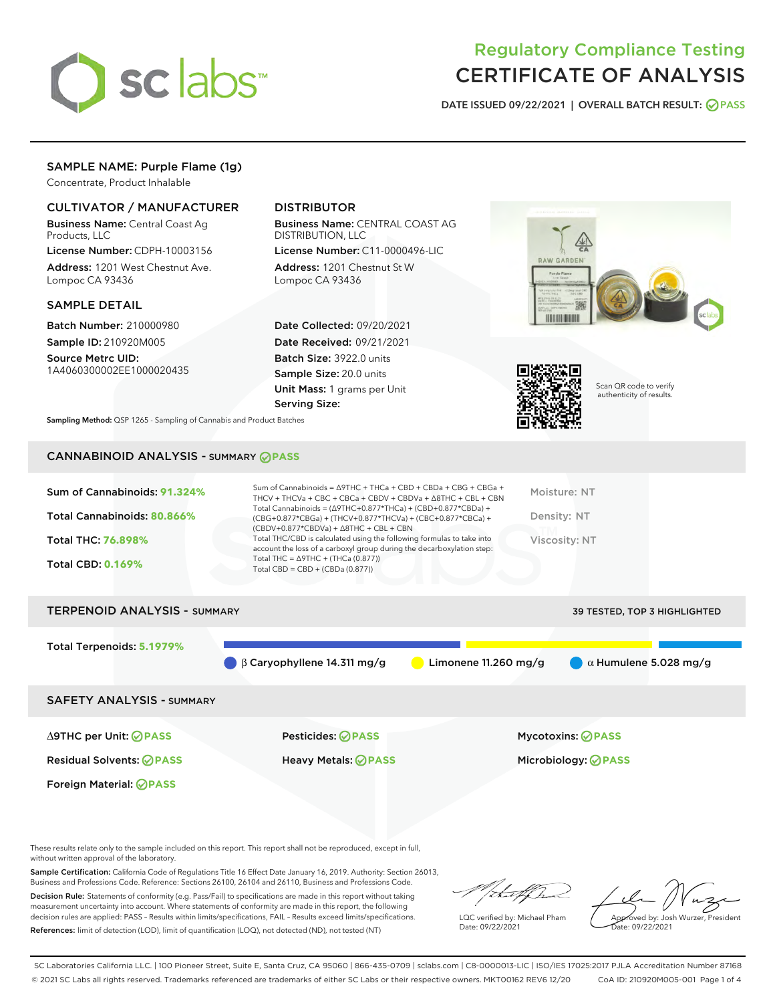

# Regulatory Compliance Testing CERTIFICATE OF ANALYSIS

DATE ISSUED 09/22/2021 | OVERALL BATCH RESULT: @ PASS

# SAMPLE NAME: Purple Flame (1g)

Concentrate, Product Inhalable

# CULTIVATOR / MANUFACTURER

Business Name: Central Coast Ag Products, LLC

License Number: CDPH-10003156 Address: 1201 West Chestnut Ave. Lompoc CA 93436

# SAMPLE DETAIL

Batch Number: 210000980 Sample ID: 210920M005

Source Metrc UID: 1A4060300002EE1000020435

# DISTRIBUTOR

Business Name: CENTRAL COAST AG DISTRIBUTION, LLC License Number: C11-0000496-LIC

Address: 1201 Chestnut St W Lompoc CA 93436

Date Collected: 09/20/2021 Date Received: 09/21/2021 Batch Size: 3922.0 units Sample Size: 20.0 units Unit Mass: 1 grams per Unit Serving Size:





Scan QR code to verify authenticity of results.

Sampling Method: QSP 1265 - Sampling of Cannabis and Product Batches

# CANNABINOID ANALYSIS - SUMMARY **PASS**

| Sum of Cannabinoids: 91.324%<br>Total Cannabinoids: 80.866% | Sum of Cannabinoids = $\triangle$ 9THC + THCa + CBD + CBDa + CBG + CBGa +<br>THCV + THCVa + CBC + CBCa + CBDV + CBDVa + A8THC + CBL + CBN<br>Total Cannabinoids = $(\Delta$ 9THC+0.877*THCa) + (CBD+0.877*CBDa) +<br>(CBG+0.877*CBGa) + (THCV+0.877*THCVa) + (CBC+0.877*CBCa) +<br>$(CBDV+0.877*CBDVa) + \Delta 8THC + CBL + CBN$<br>Total THC/CBD is calculated using the following formulas to take into | Moisture: NT<br>Density: NT  |
|-------------------------------------------------------------|------------------------------------------------------------------------------------------------------------------------------------------------------------------------------------------------------------------------------------------------------------------------------------------------------------------------------------------------------------------------------------------------------------|------------------------------|
| Total THC: 76.898%<br><b>Total CBD: 0.169%</b>              | account the loss of a carboxyl group during the decarboxylation step:<br>Total THC = $\triangle$ 9THC + (THCa (0.877))<br>Total CBD = $CBD + (CBDa (0.877))$                                                                                                                                                                                                                                               | Viscosity: NT                |
| <b>TERPENOID ANALYSIS - SUMMARY</b>                         |                                                                                                                                                                                                                                                                                                                                                                                                            | 39 TESTED, TOP 3 HIGHLIGHTED |

Total Terpenoids: **5.1979%** β Caryophyllene 14.311 mg/g **b** Limonene 11.260 mg/g  $\alpha$  Humulene 5.028 mg/g SAFETY ANALYSIS - SUMMARY

∆9THC per Unit: **PASS** Pesticides: **PASS** Mycotoxins: **PASS**

Foreign Material: **PASS**

Residual Solvents: **PASS** Heavy Metals: **PASS** Microbiology: **PASS**

These results relate only to the sample included on this report. This report shall not be reproduced, except in full, without written approval of the laboratory.

Sample Certification: California Code of Regulations Title 16 Effect Date January 16, 2019. Authority: Section 26013, Business and Professions Code. Reference: Sections 26100, 26104 and 26110, Business and Professions Code.

Decision Rule: Statements of conformity (e.g. Pass/Fail) to specifications are made in this report without taking measurement uncertainty into account. Where statements of conformity are made in this report, the following decision rules are applied: PASS – Results within limits/specifications, FAIL – Results exceed limits/specifications. References: limit of detection (LOD), limit of quantification (LOQ), not detected (ND), not tested (NT)

thai ff

LQC verified by: Michael Pham Date: 09/22/2021

Approved by: Josh Wurzer, President ate: 09/22/2021

SC Laboratories California LLC. | 100 Pioneer Street, Suite E, Santa Cruz, CA 95060 | 866-435-0709 | sclabs.com | C8-0000013-LIC | ISO/IES 17025:2017 PJLA Accreditation Number 87168 © 2021 SC Labs all rights reserved. Trademarks referenced are trademarks of either SC Labs or their respective owners. MKT00162 REV6 12/20 CoA ID: 210920M005-001 Page 1 of 4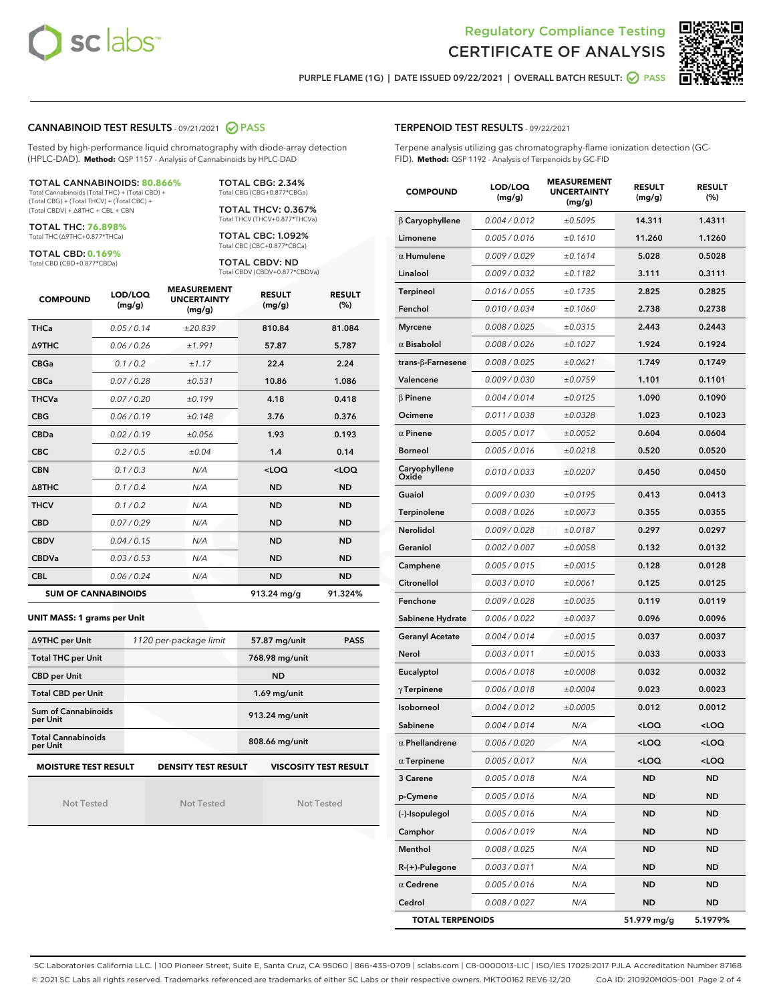



PURPLE FLAME (1G) | DATE ISSUED 09/22/2021 | OVERALL BATCH RESULT: ○ PASS

# CANNABINOID TEST RESULTS - 09/21/2021 2 PASS

Tested by high-performance liquid chromatography with diode-array detection (HPLC-DAD). **Method:** QSP 1157 - Analysis of Cannabinoids by HPLC-DAD

TOTAL CANNABINOIDS: **80.866%** Total Cannabinoids (Total THC) + (Total CBD) +

(Total CBG) + (Total THCV) + (Total CBC) + (Total CBDV) + ∆8THC + CBL + CBN

TOTAL THC: **76.898%** Total THC (∆9THC+0.877\*THCa)

TOTAL CBD: **0.169%**

Total CBD (CBD+0.877\*CBDa)

TOTAL CBG: 2.34% Total CBG (CBG+0.877\*CBGa)

TOTAL THCV: 0.367% Total THCV (THCV+0.877\*THCVa)

TOTAL CBC: 1.092% Total CBC (CBC+0.877\*CBCa)

TOTAL CBDV: ND Total CBDV (CBDV+0.877\*CBDVa)

| <b>COMPOUND</b>  | LOD/LOQ<br>(mg/g)          | <b>MEASUREMENT</b><br><b>UNCERTAINTY</b><br>(mg/g) | <b>RESULT</b><br>(mg/g) | <b>RESULT</b><br>(%) |
|------------------|----------------------------|----------------------------------------------------|-------------------------|----------------------|
| <b>THCa</b>      | 0.05 / 0.14                | ±20.839                                            | 810.84                  | 81.084               |
| <b>A9THC</b>     | 0.06 / 0.26                | ±1.991                                             | 57.87                   | 5.787                |
| <b>CBGa</b>      | 0.1 / 0.2                  | ±1.17                                              | 22.4                    | 2.24                 |
| <b>CBCa</b>      | 0.07/0.28                  | ±0.531                                             | 10.86                   | 1.086                |
| <b>THCVa</b>     | 0.07/0.20                  | ±0.199                                             | 4.18                    | 0.418                |
| <b>CBG</b>       | 0.06/0.19                  | ±0.148                                             | 3.76                    | 0.376                |
| <b>CBDa</b>      | 0.02/0.19                  | ±0.056                                             | 1.93                    | 0.193                |
| <b>CBC</b>       | 0.2 / 0.5                  | ±0.04                                              | 1.4                     | 0.14                 |
| <b>CBN</b>       | 0.1/0.3                    | N/A                                                | $<$ LOQ                 | $<$ LOQ              |
| $\triangle$ 8THC | 0.1/0.4                    | N/A                                                | <b>ND</b>               | <b>ND</b>            |
| <b>THCV</b>      | 0.1/0.2                    | N/A                                                | <b>ND</b>               | <b>ND</b>            |
| <b>CBD</b>       | 0.07/0.29                  | N/A                                                | <b>ND</b>               | <b>ND</b>            |
| <b>CBDV</b>      | 0.04 / 0.15                | N/A                                                | <b>ND</b>               | <b>ND</b>            |
| <b>CBDVa</b>     | 0.03/0.53                  | N/A                                                | <b>ND</b>               | <b>ND</b>            |
| <b>CBL</b>       | 0.06 / 0.24                | N/A                                                | <b>ND</b>               | <b>ND</b>            |
|                  | <b>SUM OF CANNABINOIDS</b> |                                                    | 913.24 mg/g             | 91.324%              |

#### **UNIT MASS: 1 grams per Unit**

| ∆9THC per Unit                        | 1120 per-package limit     | 57.87 mg/unit<br><b>PASS</b> |
|---------------------------------------|----------------------------|------------------------------|
| <b>Total THC per Unit</b>             |                            | 768.98 mg/unit               |
| <b>CBD per Unit</b>                   |                            | <b>ND</b>                    |
| <b>Total CBD per Unit</b>             |                            | $1.69$ mg/unit               |
| Sum of Cannabinoids<br>per Unit       |                            | 913.24 mg/unit               |
| <b>Total Cannabinoids</b><br>per Unit |                            | 808.66 mg/unit               |
| <b>MOISTURE TEST RESULT</b>           | <b>DENSITY TEST RESULT</b> | <b>VISCOSITY TEST RESULT</b> |

Not Tested

Not Tested

Not Tested

# TERPENOID TEST RESULTS - 09/22/2021

Terpene analysis utilizing gas chromatography-flame ionization detection (GC-FID). **Method:** QSP 1192 - Analysis of Terpenoids by GC-FID

| <b>COMPOUND</b>          | LOD/LOQ<br>(mg/g) | <b>MEASUREMENT</b><br><b>UNCERTAINTY</b><br>(mg/g) | <b>RESULT</b><br>(mg/g)                         | <b>RESULT</b><br>$(\%)$ |
|--------------------------|-------------------|----------------------------------------------------|-------------------------------------------------|-------------------------|
| $\beta$ Caryophyllene    | 0.004 / 0.012     | ±0.5095                                            | 14.311                                          | 1.4311                  |
| Limonene                 | 0.005 / 0.016     | ±0.1610                                            | 11.260                                          | 1.1260                  |
| $\alpha$ Humulene        | 0.009 / 0.029     | ±0.1614                                            | 5.028                                           | 0.5028                  |
| Linalool                 | 0.009 / 0.032     | ±0.1182                                            | 3.111                                           | 0.3111                  |
| <b>Terpineol</b>         | 0.016 / 0.055     | ±0.1735                                            | 2.825                                           | 0.2825                  |
| Fenchol                  | 0.010 / 0.034     | ±0.1060                                            | 2.738                                           | 0.2738                  |
| <b>Myrcene</b>           | 0.008 / 0.025     | ±0.0315                                            | 2.443                                           | 0.2443                  |
| $\alpha$ Bisabolol       | 0.008 / 0.026     | ±0.1027                                            | 1.924                                           | 0.1924                  |
| $trans-\beta$ -Farnesene | 0.008 / 0.025     | ±0.0621                                            | 1.749                                           | 0.1749                  |
| Valencene                | 0.009 / 0.030     | ±0.0759                                            | 1.101                                           | 0.1101                  |
| $\beta$ Pinene           | 0.004 / 0.014     | ±0.0125                                            | 1.090                                           | 0.1090                  |
| Ocimene                  | 0.011 / 0.038     | ±0.0328                                            | 1.023                                           | 0.1023                  |
| $\alpha$ Pinene          | 0.005 / 0.017     | ±0.0052                                            | 0.604                                           | 0.0604                  |
| <b>Borneol</b>           | 0.005 / 0.016     | ±0.0218                                            | 0.520                                           | 0.0520                  |
| Caryophyllene<br>Oxide   | 0.010 / 0.033     | ±0.0207                                            | 0.450                                           | 0.0450                  |
| Guaiol                   | 0.009 / 0.030     | ±0.0195                                            | 0.413                                           | 0.0413                  |
| Terpinolene              | 0.008 / 0.026     | ±0.0073                                            | 0.355                                           | 0.0355                  |
| Nerolidol                | 0.009 / 0.028     | ±0.0187                                            | 0.297                                           | 0.0297                  |
| Geraniol                 | 0.002 / 0.007     | ±0.0058                                            | 0.132                                           | 0.0132                  |
| Camphene                 | 0.005 / 0.015     | ±0.0015                                            | 0.128                                           | 0.0128                  |
| Citronellol              | 0.003 / 0.010     | ±0.0061                                            | 0.125                                           | 0.0125                  |
| Fenchone                 | 0.009 / 0.028     | ±0.0035                                            | 0.119                                           | 0.0119                  |
| Sabinene Hydrate         | 0.006 / 0.022     | ±0.0037                                            | 0.096                                           | 0.0096                  |
| <b>Geranyl Acetate</b>   | 0.004 / 0.014     | ±0.0015                                            | 0.037                                           | 0.0037                  |
| Nerol                    | 0.003 / 0.011     | ±0.0015                                            | 0.033                                           | 0.0033                  |
| Eucalyptol               | 0.006 / 0.018     | ±0.0008                                            | 0.032                                           | 0.0032                  |
| $\gamma$ Terpinene       | 0.006 / 0.018     | ±0.0004                                            | 0.023                                           | 0.0023                  |
| Isoborneol               | 0.004 / 0.012     | ±0.0005                                            | 0.012                                           | 0.0012                  |
| Sabinene                 | 0.004 / 0.014     | N/A                                                | <loq< th=""><th><loq< th=""></loq<></th></loq<> | <loq< th=""></loq<>     |
| $\alpha$ Phellandrene    | 0.006 / 0.020     | N/A                                                | $<$ l OO                                        | <loq< th=""></loq<>     |
| $\alpha$ Terpinene       | 0.005 / 0.017     | N/A                                                | $<$ LOQ                                         | <loq< th=""></loq<>     |
| 3 Carene                 | 0.005 / 0.018     | N/A                                                | ND                                              | ND                      |
| p-Cymene                 | 0.005 / 0.016     | N/A                                                | ND                                              | <b>ND</b>               |
| (-)-Isopulegol           | 0.005 / 0.016     | N/A                                                | ND                                              | ND                      |
| Camphor                  | 0.006 / 0.019     | N/A                                                | ND                                              | ND                      |
| Menthol                  | 0.008 / 0.025     | N/A                                                | ND                                              | ND                      |
| $R-(+)$ -Pulegone        | 0.003 / 0.011     | N/A                                                | ND                                              | ND                      |
| $\alpha$ Cedrene         | 0.005 / 0.016     | N/A                                                | ND                                              | ND                      |
| Cedrol                   | 0.008 / 0.027     | N/A                                                | ND                                              | ND                      |
| <b>TOTAL TERPENOIDS</b>  |                   |                                                    | 51.979 mg/g                                     | 5.1979%                 |

SC Laboratories California LLC. | 100 Pioneer Street, Suite E, Santa Cruz, CA 95060 | 866-435-0709 | sclabs.com | C8-0000013-LIC | ISO/IES 17025:2017 PJLA Accreditation Number 87168 © 2021 SC Labs all rights reserved. Trademarks referenced are trademarks of either SC Labs or their respective owners. MKT00162 REV6 12/20 CoA ID: 210920M005-001 Page 2 of 4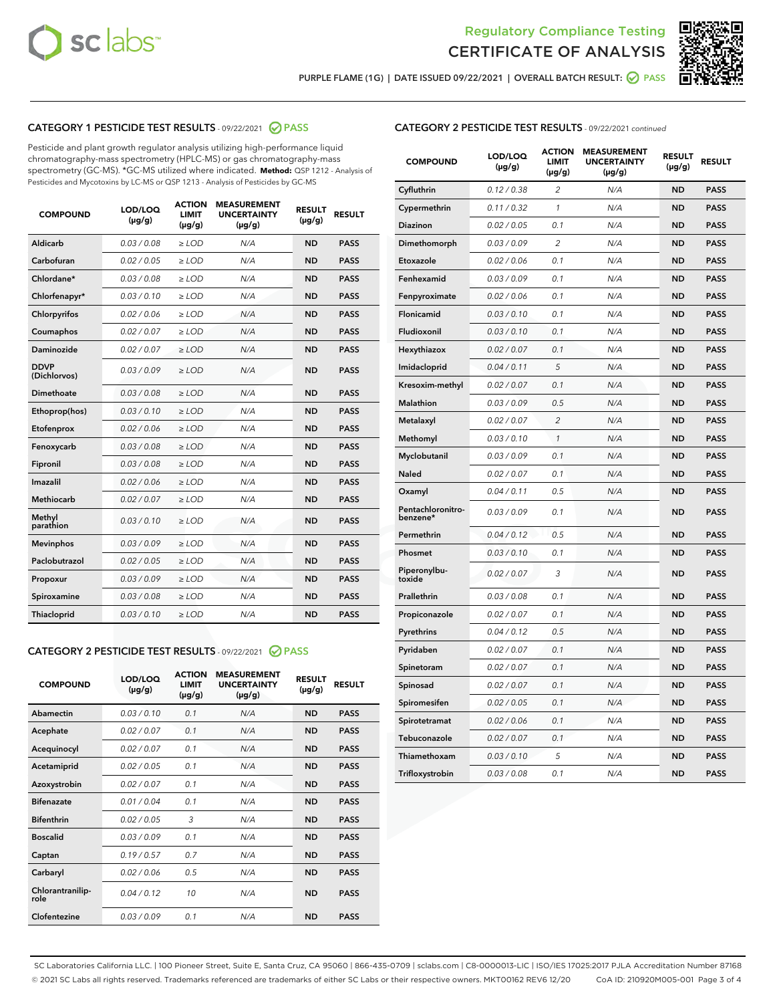



PURPLE FLAME (1G) | DATE ISSUED 09/22/2021 | OVERALL BATCH RESULT:  $\bigcirc$  PASS

# CATEGORY 1 PESTICIDE TEST RESULTS - 09/22/2021 2 PASS

Pesticide and plant growth regulator analysis utilizing high-performance liquid chromatography-mass spectrometry (HPLC-MS) or gas chromatography-mass spectrometry (GC-MS). \*GC-MS utilized where indicated. **Method:** QSP 1212 - Analysis of Pesticides and Mycotoxins by LC-MS or QSP 1213 - Analysis of Pesticides by GC-MS

| <b>Aldicarb</b><br>0.03 / 0.08<br><b>ND</b><br>$\ge$ LOD<br>N/A<br><b>PASS</b><br>Carbofuran<br>0.02/0.05<br>$\ge$ LOD<br>N/A<br><b>ND</b><br><b>PASS</b><br>Chlordane*<br>0.03 / 0.08<br><b>ND</b><br>$>$ LOD<br>N/A<br><b>PASS</b><br>0.03/0.10<br><b>ND</b><br><b>PASS</b><br>Chlorfenapyr*<br>$\ge$ LOD<br>N/A<br>0.02 / 0.06<br>N/A<br><b>ND</b><br><b>PASS</b><br>Chlorpyrifos<br>$\ge$ LOD<br>0.02 / 0.07<br>N/A<br><b>ND</b><br><b>PASS</b><br>Coumaphos<br>$>$ LOD<br>Daminozide<br>0.02 / 0.07<br>$\ge$ LOD<br>N/A<br><b>ND</b><br><b>PASS</b><br><b>DDVP</b><br>0.03/0.09<br>$\ge$ LOD<br>N/A<br><b>ND</b><br><b>PASS</b><br>(Dichlorvos)<br>Dimethoate<br><b>ND</b><br><b>PASS</b><br>0.03/0.08<br>$>$ LOD<br>N/A<br>Ethoprop(hos)<br>0.03/0.10<br>$\ge$ LOD<br>N/A<br><b>ND</b><br><b>PASS</b><br>0.02/0.06<br>$\ge$ LOD<br>N/A<br><b>ND</b><br><b>PASS</b><br>Etofenprox<br>Fenoxycarb<br>0.03/0.08<br>$>$ LOD<br>N/A<br><b>ND</b><br><b>PASS</b><br>0.03/0.08<br><b>ND</b><br><b>PASS</b><br>Fipronil<br>$\ge$ LOD<br>N/A<br>Imazalil<br>0.02 / 0.06<br>$>$ LOD<br>N/A<br><b>ND</b><br><b>PASS</b><br>0.02 / 0.07<br>Methiocarb<br>N/A<br><b>ND</b><br>$>$ LOD<br><b>PASS</b><br>Methyl<br>0.03/0.10<br>$\ge$ LOD<br>N/A<br><b>ND</b><br><b>PASS</b><br>parathion<br>0.03/0.09<br>$\ge$ LOD<br>N/A<br><b>ND</b><br><b>PASS</b><br><b>Mevinphos</b><br>Paclobutrazol<br>0.02 / 0.05<br>$\ge$ LOD<br>N/A<br><b>ND</b><br><b>PASS</b><br>0.03/0.09<br>N/A<br>$\ge$ LOD<br><b>ND</b><br><b>PASS</b><br>Propoxur<br>0.03/0.08<br><b>ND</b><br><b>PASS</b><br>Spiroxamine<br>$\ge$ LOD<br>N/A<br><b>PASS</b><br>Thiacloprid<br>0.03/0.10<br>$\ge$ LOD<br>N/A<br><b>ND</b> | <b>COMPOUND</b> | LOD/LOQ<br>$(\mu g/g)$ | <b>ACTION</b><br>LIMIT<br>$(\mu g/g)$ | <b>MEASUREMENT</b><br><b>UNCERTAINTY</b><br>$(\mu g/g)$ | <b>RESULT</b><br>$(\mu g/g)$ | <b>RESULT</b> |
|------------------------------------------------------------------------------------------------------------------------------------------------------------------------------------------------------------------------------------------------------------------------------------------------------------------------------------------------------------------------------------------------------------------------------------------------------------------------------------------------------------------------------------------------------------------------------------------------------------------------------------------------------------------------------------------------------------------------------------------------------------------------------------------------------------------------------------------------------------------------------------------------------------------------------------------------------------------------------------------------------------------------------------------------------------------------------------------------------------------------------------------------------------------------------------------------------------------------------------------------------------------------------------------------------------------------------------------------------------------------------------------------------------------------------------------------------------------------------------------------------------------------------------------------------------------------------------------------------------------------------------------------------------------------------------|-----------------|------------------------|---------------------------------------|---------------------------------------------------------|------------------------------|---------------|
|                                                                                                                                                                                                                                                                                                                                                                                                                                                                                                                                                                                                                                                                                                                                                                                                                                                                                                                                                                                                                                                                                                                                                                                                                                                                                                                                                                                                                                                                                                                                                                                                                                                                                    |                 |                        |                                       |                                                         |                              |               |
|                                                                                                                                                                                                                                                                                                                                                                                                                                                                                                                                                                                                                                                                                                                                                                                                                                                                                                                                                                                                                                                                                                                                                                                                                                                                                                                                                                                                                                                                                                                                                                                                                                                                                    |                 |                        |                                       |                                                         |                              |               |
|                                                                                                                                                                                                                                                                                                                                                                                                                                                                                                                                                                                                                                                                                                                                                                                                                                                                                                                                                                                                                                                                                                                                                                                                                                                                                                                                                                                                                                                                                                                                                                                                                                                                                    |                 |                        |                                       |                                                         |                              |               |
|                                                                                                                                                                                                                                                                                                                                                                                                                                                                                                                                                                                                                                                                                                                                                                                                                                                                                                                                                                                                                                                                                                                                                                                                                                                                                                                                                                                                                                                                                                                                                                                                                                                                                    |                 |                        |                                       |                                                         |                              |               |
|                                                                                                                                                                                                                                                                                                                                                                                                                                                                                                                                                                                                                                                                                                                                                                                                                                                                                                                                                                                                                                                                                                                                                                                                                                                                                                                                                                                                                                                                                                                                                                                                                                                                                    |                 |                        |                                       |                                                         |                              |               |
|                                                                                                                                                                                                                                                                                                                                                                                                                                                                                                                                                                                                                                                                                                                                                                                                                                                                                                                                                                                                                                                                                                                                                                                                                                                                                                                                                                                                                                                                                                                                                                                                                                                                                    |                 |                        |                                       |                                                         |                              |               |
|                                                                                                                                                                                                                                                                                                                                                                                                                                                                                                                                                                                                                                                                                                                                                                                                                                                                                                                                                                                                                                                                                                                                                                                                                                                                                                                                                                                                                                                                                                                                                                                                                                                                                    |                 |                        |                                       |                                                         |                              |               |
|                                                                                                                                                                                                                                                                                                                                                                                                                                                                                                                                                                                                                                                                                                                                                                                                                                                                                                                                                                                                                                                                                                                                                                                                                                                                                                                                                                                                                                                                                                                                                                                                                                                                                    |                 |                        |                                       |                                                         |                              |               |
|                                                                                                                                                                                                                                                                                                                                                                                                                                                                                                                                                                                                                                                                                                                                                                                                                                                                                                                                                                                                                                                                                                                                                                                                                                                                                                                                                                                                                                                                                                                                                                                                                                                                                    |                 |                        |                                       |                                                         |                              |               |
|                                                                                                                                                                                                                                                                                                                                                                                                                                                                                                                                                                                                                                                                                                                                                                                                                                                                                                                                                                                                                                                                                                                                                                                                                                                                                                                                                                                                                                                                                                                                                                                                                                                                                    |                 |                        |                                       |                                                         |                              |               |
|                                                                                                                                                                                                                                                                                                                                                                                                                                                                                                                                                                                                                                                                                                                                                                                                                                                                                                                                                                                                                                                                                                                                                                                                                                                                                                                                                                                                                                                                                                                                                                                                                                                                                    |                 |                        |                                       |                                                         |                              |               |
|                                                                                                                                                                                                                                                                                                                                                                                                                                                                                                                                                                                                                                                                                                                                                                                                                                                                                                                                                                                                                                                                                                                                                                                                                                                                                                                                                                                                                                                                                                                                                                                                                                                                                    |                 |                        |                                       |                                                         |                              |               |
|                                                                                                                                                                                                                                                                                                                                                                                                                                                                                                                                                                                                                                                                                                                                                                                                                                                                                                                                                                                                                                                                                                                                                                                                                                                                                                                                                                                                                                                                                                                                                                                                                                                                                    |                 |                        |                                       |                                                         |                              |               |
|                                                                                                                                                                                                                                                                                                                                                                                                                                                                                                                                                                                                                                                                                                                                                                                                                                                                                                                                                                                                                                                                                                                                                                                                                                                                                                                                                                                                                                                                                                                                                                                                                                                                                    |                 |                        |                                       |                                                         |                              |               |
|                                                                                                                                                                                                                                                                                                                                                                                                                                                                                                                                                                                                                                                                                                                                                                                                                                                                                                                                                                                                                                                                                                                                                                                                                                                                                                                                                                                                                                                                                                                                                                                                                                                                                    |                 |                        |                                       |                                                         |                              |               |
|                                                                                                                                                                                                                                                                                                                                                                                                                                                                                                                                                                                                                                                                                                                                                                                                                                                                                                                                                                                                                                                                                                                                                                                                                                                                                                                                                                                                                                                                                                                                                                                                                                                                                    |                 |                        |                                       |                                                         |                              |               |
|                                                                                                                                                                                                                                                                                                                                                                                                                                                                                                                                                                                                                                                                                                                                                                                                                                                                                                                                                                                                                                                                                                                                                                                                                                                                                                                                                                                                                                                                                                                                                                                                                                                                                    |                 |                        |                                       |                                                         |                              |               |
|                                                                                                                                                                                                                                                                                                                                                                                                                                                                                                                                                                                                                                                                                                                                                                                                                                                                                                                                                                                                                                                                                                                                                                                                                                                                                                                                                                                                                                                                                                                                                                                                                                                                                    |                 |                        |                                       |                                                         |                              |               |
|                                                                                                                                                                                                                                                                                                                                                                                                                                                                                                                                                                                                                                                                                                                                                                                                                                                                                                                                                                                                                                                                                                                                                                                                                                                                                                                                                                                                                                                                                                                                                                                                                                                                                    |                 |                        |                                       |                                                         |                              |               |
|                                                                                                                                                                                                                                                                                                                                                                                                                                                                                                                                                                                                                                                                                                                                                                                                                                                                                                                                                                                                                                                                                                                                                                                                                                                                                                                                                                                                                                                                                                                                                                                                                                                                                    |                 |                        |                                       |                                                         |                              |               |
|                                                                                                                                                                                                                                                                                                                                                                                                                                                                                                                                                                                                                                                                                                                                                                                                                                                                                                                                                                                                                                                                                                                                                                                                                                                                                                                                                                                                                                                                                                                                                                                                                                                                                    |                 |                        |                                       |                                                         |                              |               |

#### CATEGORY 2 PESTICIDE TEST RESULTS - 09/22/2021 @ PASS

| <b>COMPOUND</b>          | LOD/LOO<br>$(\mu g/g)$ | <b>ACTION</b><br>LIMIT<br>$(\mu g/g)$ | <b>MEASUREMENT</b><br><b>UNCERTAINTY</b><br>$(\mu g/g)$ | <b>RESULT</b><br>$(\mu g/g)$ | <b>RESULT</b> |
|--------------------------|------------------------|---------------------------------------|---------------------------------------------------------|------------------------------|---------------|
| Abamectin                | 0.03/0.10              | 0.1                                   | N/A                                                     | <b>ND</b>                    | <b>PASS</b>   |
| Acephate                 | 0.02/0.07              | 0.1                                   | N/A                                                     | <b>ND</b>                    | <b>PASS</b>   |
| Acequinocyl              | 0.02/0.07              | 0.1                                   | N/A                                                     | <b>ND</b>                    | <b>PASS</b>   |
| Acetamiprid              | 0.02/0.05              | 0.1                                   | N/A                                                     | <b>ND</b>                    | <b>PASS</b>   |
| Azoxystrobin             | 0.02/0.07              | 0.1                                   | N/A                                                     | <b>ND</b>                    | <b>PASS</b>   |
| <b>Bifenazate</b>        | 0.01 / 0.04            | 0.1                                   | N/A                                                     | <b>ND</b>                    | <b>PASS</b>   |
| <b>Bifenthrin</b>        | 0.02/0.05              | 3                                     | N/A                                                     | <b>ND</b>                    | <b>PASS</b>   |
| <b>Boscalid</b>          | 0.03/0.09              | 0.1                                   | N/A                                                     | <b>ND</b>                    | <b>PASS</b>   |
| Captan                   | 0.19/0.57              | 0.7                                   | N/A                                                     | <b>ND</b>                    | <b>PASS</b>   |
| Carbaryl                 | 0.02/0.06              | 0.5                                   | N/A                                                     | <b>ND</b>                    | <b>PASS</b>   |
| Chlorantranilip-<br>role | 0.04/0.12              | 10                                    | N/A                                                     | <b>ND</b>                    | <b>PASS</b>   |
| Clofentezine             | 0.03/0.09              | 0.1                                   | N/A                                                     | <b>ND</b>                    | <b>PASS</b>   |

| <b>CATEGORY 2 PESTICIDE TEST RESULTS</b> - 09/22/2021 continued |  |
|-----------------------------------------------------------------|--|
|-----------------------------------------------------------------|--|

| <b>COMPOUND</b>               | LOD/LOQ<br>(µg/g) | <b>ACTION</b><br>LIMIT<br>(µg/g) | <b>MEASUREMENT</b><br><b>UNCERTAINTY</b><br>$(\mu g/g)$ | <b>RESULT</b><br>(µg/g) | <b>RESULT</b> |
|-------------------------------|-------------------|----------------------------------|---------------------------------------------------------|-------------------------|---------------|
| Cyfluthrin                    | 0.12 / 0.38       | $\overline{c}$                   | N/A                                                     | <b>ND</b>               | <b>PASS</b>   |
| Cypermethrin                  | 0.11/0.32         | 1                                | N/A                                                     | <b>ND</b>               | <b>PASS</b>   |
| <b>Diazinon</b>               | 0.02 / 0.05       | 0.1                              | N/A                                                     | <b>ND</b>               | <b>PASS</b>   |
| Dimethomorph                  | 0.03 / 0.09       | 2                                | N/A                                                     | ND                      | <b>PASS</b>   |
| Etoxazole                     | 0.02 / 0.06       | 0.1                              | N/A                                                     | ND                      | <b>PASS</b>   |
| Fenhexamid                    | 0.03 / 0.09       | 0.1                              | N/A                                                     | <b>ND</b>               | <b>PASS</b>   |
| Fenpyroximate                 | 0.02 / 0.06       | 0.1                              | N/A                                                     | <b>ND</b>               | <b>PASS</b>   |
| Flonicamid                    | 0.03/0.10         | 0.1                              | N/A                                                     | <b>ND</b>               | <b>PASS</b>   |
| Fludioxonil                   | 0.03/0.10         | 0.1                              | N/A                                                     | <b>ND</b>               | <b>PASS</b>   |
| Hexythiazox                   | 0.02 / 0.07       | 0.1                              | N/A                                                     | <b>ND</b>               | <b>PASS</b>   |
| Imidacloprid                  | 0.04 / 0.11       | 5                                | N/A                                                     | <b>ND</b>               | <b>PASS</b>   |
| Kresoxim-methyl               | 0.02 / 0.07       | 0.1                              | N/A                                                     | ND                      | <b>PASS</b>   |
| <b>Malathion</b>              | 0.03 / 0.09       | 0.5                              | N/A                                                     | <b>ND</b>               | <b>PASS</b>   |
| Metalaxyl                     | 0.02 / 0.07       | $\overline{c}$                   | N/A                                                     | ND                      | <b>PASS</b>   |
| Methomyl                      | 0.03 / 0.10       | 1                                | N/A                                                     | <b>ND</b>               | <b>PASS</b>   |
| Myclobutanil                  | 0.03 / 0.09       | 0.1                              | N/A                                                     | <b>ND</b>               | <b>PASS</b>   |
| Naled                         | 0.02 / 0.07       | 0.1                              | N/A                                                     | <b>ND</b>               | <b>PASS</b>   |
| Oxamyl                        | 0.04 / 0.11       | 0.5                              | N/A                                                     | ND                      | <b>PASS</b>   |
| Pentachloronitro-<br>benzene* | 0.03 / 0.09       | 0.1                              | N/A                                                     | ND                      | <b>PASS</b>   |
| Permethrin                    | 0.04 / 0.12       | 0.5                              | N/A                                                     | <b>ND</b>               | <b>PASS</b>   |
| Phosmet                       | 0.03 / 0.10       | 0.1                              | N/A                                                     | <b>ND</b>               | <b>PASS</b>   |
| Piperonylbu-<br>toxide        | 0.02 / 0.07       | 3                                | N/A                                                     | <b>ND</b>               | <b>PASS</b>   |
| Prallethrin                   | 0.03 / 0.08       | 0.1                              | N/A                                                     | <b>ND</b>               | <b>PASS</b>   |
| Propiconazole                 | 0.02 / 0.07       | 0.1                              | N/A                                                     | <b>ND</b>               | <b>PASS</b>   |
| Pyrethrins                    | 0.04 / 0.12       | 0.5                              | N/A                                                     | <b>ND</b>               | <b>PASS</b>   |
| Pyridaben                     | 0.02 / 0.07       | 0.1                              | N/A                                                     | ND                      | <b>PASS</b>   |
| Spinetoram                    | 0.02 / 0.07       | 0.1                              | N/A                                                     | <b>ND</b>               | <b>PASS</b>   |
| Spinosad                      | 0.02 / 0.07       | 0.1                              | N/A                                                     | <b>ND</b>               | <b>PASS</b>   |
| Spiromesifen                  | 0.02 / 0.05       | 0.1                              | N/A                                                     | ND                      | PASS          |
| Spirotetramat                 | 0.02 / 0.06       | 0.1                              | N/A                                                     | <b>ND</b>               | <b>PASS</b>   |
| Tebuconazole                  | 0.02 / 0.07       | 0.1                              | N/A                                                     | <b>ND</b>               | <b>PASS</b>   |
| Thiamethoxam                  | 0.03 / 0.10       | 5                                | N/A                                                     | ND                      | <b>PASS</b>   |
| Trifloxystrobin               | 0.03 / 0.08       | 0.1                              | N/A                                                     | ND                      | <b>PASS</b>   |

SC Laboratories California LLC. | 100 Pioneer Street, Suite E, Santa Cruz, CA 95060 | 866-435-0709 | sclabs.com | C8-0000013-LIC | ISO/IES 17025:2017 PJLA Accreditation Number 87168 © 2021 SC Labs all rights reserved. Trademarks referenced are trademarks of either SC Labs or their respective owners. MKT00162 REV6 12/20 CoA ID: 210920M005-001 Page 3 of 4